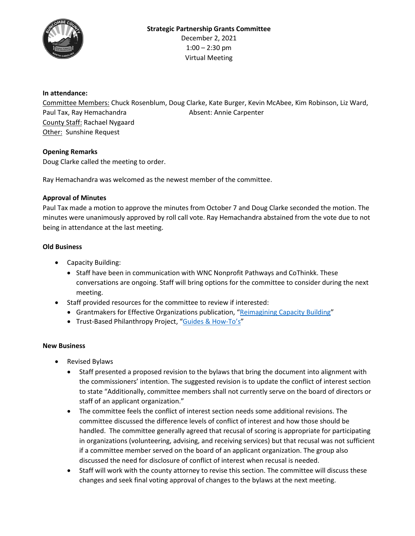

## **In attendance:**

Committee Members: Chuck Rosenblum, Doug Clarke, Kate Burger, Kevin McAbee, Kim Robinson, Liz Ward, Paul Tax, Ray Hemachandra Absent: Annie Carpenter County Staff: Rachael Nygaard Other: Sunshine Request

## **Opening Remarks**

Doug Clarke called the meeting to order.

Ray Hemachandra was welcomed as the newest member of the committee.

#### **Approval of Minutes**

Paul Tax made a motion to approve the minutes from October 7 and Doug Clarke seconded the motion. The minutes were unanimously approved by roll call vote. Ray Hemachandra abstained from the vote due to not being in attendance at the last meeting.

## **Old Business**

- Capacity Building:
	- Staff have been in communication with WNC Nonprofit Pathways and CoThinkk. These conversations are ongoing. Staff will bring options for the committee to consider during the next meeting.
- Staff provided resources for the committee to review if interested:
	- Grantmakers for Effective Organizations publication, "Reimagining Capacity Building"
	- Trust-Based Philanthropy Project, "Guides & How-To's"

## **New Business**

- Revised Bylaws
	- Staff presented a proposed revision to the bylaws that bring the document into alignment with the commissioners' intention. The suggested revision is to update the conflict of interest section to state "Additionally, committee members shall not currently serve on the board of directors or staff of an applicant organization."
	- The committee feels the conflict of interest section needs some additional revisions. The committee discussed the difference levels of conflict of interest and how those should be handled. The committee generally agreed that recusal of scoring is appropriate for participating in organizations (volunteering, advising, and receiving services) but that recusal was not sufficient if a committee member served on the board of an applicant organization. The group also discussed the need for disclosure of conflict of interest when recusal is needed.
	- Staff will work with the county attorney to revise this section. The committee will discuss these changes and seek final voting approval of changes to the bylaws at the next meeting.